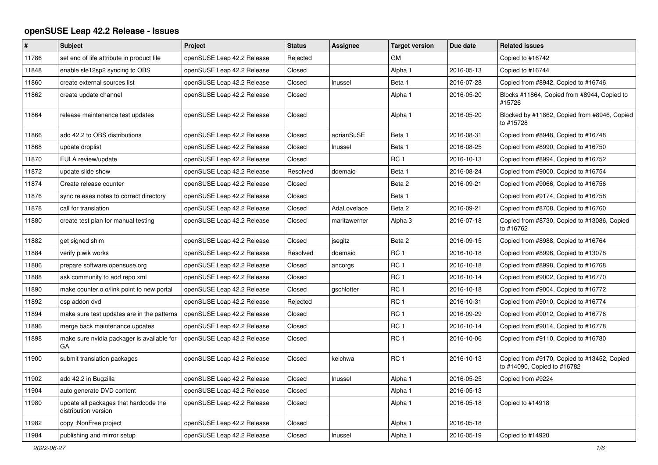## **openSUSE Leap 42.2 Release - Issues**

| $\pmb{\#}$ | <b>Subject</b>                                                | Project                    | <b>Status</b> | <b>Assignee</b> | <b>Target version</b> | Due date   | <b>Related issues</b>                                                      |
|------------|---------------------------------------------------------------|----------------------------|---------------|-----------------|-----------------------|------------|----------------------------------------------------------------------------|
| 11786      | set end of life attribute in product file                     | openSUSE Leap 42.2 Release | Rejected      |                 | <b>GM</b>             |            | Copied to #16742                                                           |
| 11848      | enable sle12sp2 syncing to OBS                                | openSUSE Leap 42.2 Release | Closed        |                 | Alpha 1               | 2016-05-13 | Copied to #16744                                                           |
| 11860      | create external sources list                                  | openSUSE Leap 42.2 Release | Closed        | Inussel         | Beta 1                | 2016-07-28 | Copied from #8942, Copied to #16746                                        |
| 11862      | create update channel                                         | openSUSE Leap 42.2 Release | Closed        |                 | Alpha 1               | 2016-05-20 | Blocks #11864, Copied from #8944, Copied to<br>#15726                      |
| 11864      | release maintenance test updates                              | openSUSE Leap 42.2 Release | Closed        |                 | Alpha 1               | 2016-05-20 | Blocked by #11862, Copied from #8946, Copied<br>to #15728                  |
| 11866      | add 42.2 to OBS distributions                                 | openSUSE Leap 42.2 Release | Closed        | adrianSuSE      | Beta 1                | 2016-08-31 | Copied from #8948, Copied to #16748                                        |
| 11868      | update droplist                                               | openSUSE Leap 42.2 Release | Closed        | Inussel         | Beta 1                | 2016-08-25 | Copied from #8990, Copied to #16750                                        |
| 11870      | EULA review/update                                            | openSUSE Leap 42.2 Release | Closed        |                 | RC <sub>1</sub>       | 2016-10-13 | Copied from #8994, Copied to #16752                                        |
| 11872      | update slide show                                             | openSUSE Leap 42.2 Release | Resolved      | ddemaio         | Beta 1                | 2016-08-24 | Copied from #9000, Copied to #16754                                        |
| 11874      | Create release counter                                        | openSUSE Leap 42.2 Release | Closed        |                 | Beta 2                | 2016-09-21 | Copied from #9066, Copied to #16756                                        |
| 11876      | sync releaes notes to correct directory                       | openSUSE Leap 42.2 Release | Closed        |                 | Beta 1                |            | Copied from #9174, Copied to #16758                                        |
| 11878      | call for translation                                          | openSUSE Leap 42.2 Release | Closed        | AdaLovelace     | Beta 2                | 2016-09-21 | Copied from #8708, Copied to #16760                                        |
| 11880      | create test plan for manual testing                           | openSUSE Leap 42.2 Release | Closed        | maritawerner    | Alpha 3               | 2016-07-18 | Copied from #8730, Copied to #13086, Copied<br>to #16762                   |
| 11882      | get signed shim                                               | openSUSE Leap 42.2 Release | Closed        | jsegitz         | Beta 2                | 2016-09-15 | Copied from #8988, Copied to #16764                                        |
| 11884      | verify piwik works                                            | openSUSE Leap 42.2 Release | Resolved      | ddemaio         | RC <sub>1</sub>       | 2016-10-18 | Copied from #8996, Copied to #13078                                        |
| 11886      | prepare software.opensuse.org                                 | openSUSE Leap 42.2 Release | Closed        | ancorgs         | RC <sub>1</sub>       | 2016-10-18 | Copied from #8998, Copied to #16768                                        |
| 11888      | ask community to add repo xml                                 | openSUSE Leap 42.2 Release | Closed        |                 | RC <sub>1</sub>       | 2016-10-14 | Copied from #9002, Copied to #16770                                        |
| 11890      | make counter.o.o/link point to new portal                     | openSUSE Leap 42.2 Release | Closed        | gschlotter      | RC <sub>1</sub>       | 2016-10-18 | Copied from #9004, Copied to #16772                                        |
| 11892      | osp addon dvd                                                 | openSUSE Leap 42.2 Release | Rejected      |                 | RC <sub>1</sub>       | 2016-10-31 | Copied from #9010, Copied to #16774                                        |
| 11894      | make sure test updates are in the patterns                    | openSUSE Leap 42.2 Release | Closed        |                 | RC <sub>1</sub>       | 2016-09-29 | Copied from #9012, Copied to #16776                                        |
| 11896      | merge back maintenance updates                                | openSUSE Leap 42.2 Release | Closed        |                 | RC <sub>1</sub>       | 2016-10-14 | Copied from #9014, Copied to #16778                                        |
| 11898      | make sure nvidia packager is available for<br>GA              | openSUSE Leap 42.2 Release | Closed        |                 | RC <sub>1</sub>       | 2016-10-06 | Copied from #9110, Copied to #16780                                        |
| 11900      | submit translation packages                                   | openSUSE Leap 42.2 Release | Closed        | keichwa         | RC <sub>1</sub>       | 2016-10-13 | Copied from #9170, Copied to #13452, Copied<br>to #14090, Copied to #16782 |
| 11902      | add 42.2 in Bugzilla                                          | openSUSE Leap 42.2 Release | Closed        | Inussel         | Alpha 1               | 2016-05-25 | Copied from #9224                                                          |
| 11904      | auto generate DVD content                                     | openSUSE Leap 42.2 Release | Closed        |                 | Alpha 1               | 2016-05-13 |                                                                            |
| 11980      | update all packages that hardcode the<br>distribution version | openSUSE Leap 42.2 Release | Closed        |                 | Alpha 1               | 2016-05-18 | Copied to #14918                                                           |
| 11982      | copy: NonFree project                                         | openSUSE Leap 42.2 Release | Closed        |                 | Alpha 1               | 2016-05-18 |                                                                            |
| 11984      | publishing and mirror setup                                   | openSUSE Leap 42.2 Release | Closed        | Inussel         | Alpha 1               | 2016-05-19 | Copied to #14920                                                           |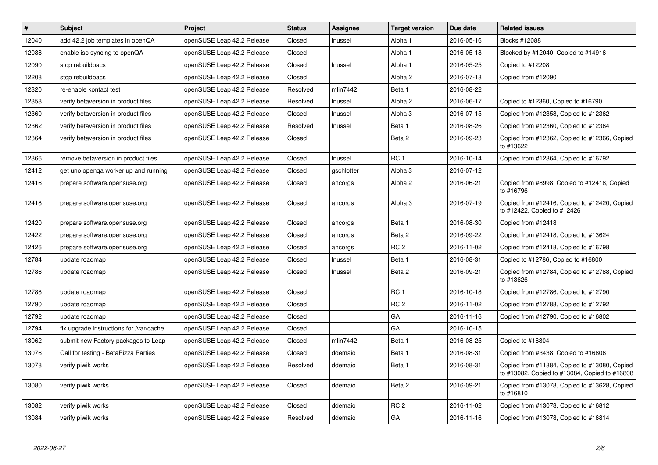| $\pmb{\#}$ | <b>Subject</b>                          | <b>Project</b>             | <b>Status</b> | <b>Assignee</b> | <b>Target version</b> | Due date   | <b>Related issues</b>                                                                         |
|------------|-----------------------------------------|----------------------------|---------------|-----------------|-----------------------|------------|-----------------------------------------------------------------------------------------------|
| 12040      | add 42.2 job templates in openQA        | openSUSE Leap 42.2 Release | Closed        | Inussel         | Alpha 1               | 2016-05-16 | <b>Blocks #12088</b>                                                                          |
| 12088      | enable iso syncing to openQA            | openSUSE Leap 42.2 Release | Closed        |                 | Alpha 1               | 2016-05-18 | Blocked by #12040, Copied to #14916                                                           |
| 12090      | stop rebuildpacs                        | openSUSE Leap 42.2 Release | Closed        | Inussel         | Alpha 1               | 2016-05-25 | Copied to #12208                                                                              |
| 12208      | stop rebuildpacs                        | openSUSE Leap 42.2 Release | Closed        |                 | Alpha <sub>2</sub>    | 2016-07-18 | Copied from #12090                                                                            |
| 12320      | re-enable kontact test                  | openSUSE Leap 42.2 Release | Resolved      | mlin7442        | Beta 1                | 2016-08-22 |                                                                                               |
| 12358      | verify betaversion in product files     | openSUSE Leap 42.2 Release | Resolved      | Inussel         | Alpha <sub>2</sub>    | 2016-06-17 | Copied to #12360, Copied to #16790                                                            |
| 12360      | verify betaversion in product files     | openSUSE Leap 42.2 Release | Closed        | Inussel         | Alpha 3               | 2016-07-15 | Copied from #12358, Copied to #12362                                                          |
| 12362      | verify betaversion in product files     | openSUSE Leap 42.2 Release | Resolved      | Inussel         | Beta 1                | 2016-08-26 | Copied from #12360, Copied to #12364                                                          |
| 12364      | verify betaversion in product files     | openSUSE Leap 42.2 Release | Closed        |                 | Beta 2                | 2016-09-23 | Copied from #12362, Copied to #12366, Copied<br>to #13622                                     |
| 12366      | remove betaversion in product files     | openSUSE Leap 42.2 Release | Closed        | Inussel         | RC <sub>1</sub>       | 2016-10-14 | Copied from #12364, Copied to #16792                                                          |
| 12412      | get uno openga worker up and running    | openSUSE Leap 42.2 Release | Closed        | gschlotter      | Alpha 3               | 2016-07-12 |                                                                                               |
| 12416      | prepare software.opensuse.org           | openSUSE Leap 42.2 Release | Closed        | ancorgs         | Alpha <sub>2</sub>    | 2016-06-21 | Copied from #8998, Copied to #12418, Copied<br>to #16796                                      |
| 12418      | prepare software.opensuse.org           | openSUSE Leap 42.2 Release | Closed        | ancorgs         | Alpha 3               | 2016-07-19 | Copied from #12416, Copied to #12420, Copied<br>to #12422, Copied to #12426                   |
| 12420      | prepare software.opensuse.org           | openSUSE Leap 42.2 Release | Closed        | ancorgs         | Beta 1                | 2016-08-30 | Copied from #12418                                                                            |
| 12422      | prepare software.opensuse.org           | openSUSE Leap 42.2 Release | Closed        | ancorgs         | Beta 2                | 2016-09-22 | Copied from #12418, Copied to #13624                                                          |
| 12426      | prepare software.opensuse.org           | openSUSE Leap 42.2 Release | Closed        | ancorgs         | RC <sub>2</sub>       | 2016-11-02 | Copied from #12418, Copied to #16798                                                          |
| 12784      | update roadmap                          | openSUSE Leap 42.2 Release | Closed        | Inussel         | Beta 1                | 2016-08-31 | Copied to #12786, Copied to #16800                                                            |
| 12786      | update roadmap                          | openSUSE Leap 42.2 Release | Closed        | Inussel         | Beta 2                | 2016-09-21 | Copied from #12784, Copied to #12788, Copied<br>to #13626                                     |
| 12788      | update roadmap                          | openSUSE Leap 42.2 Release | Closed        |                 | RC <sub>1</sub>       | 2016-10-18 | Copied from #12786, Copied to #12790                                                          |
| 12790      | update roadmap                          | openSUSE Leap 42.2 Release | Closed        |                 | RC <sub>2</sub>       | 2016-11-02 | Copied from #12788, Copied to #12792                                                          |
| 12792      | update roadmap                          | openSUSE Leap 42.2 Release | Closed        |                 | GA                    | 2016-11-16 | Copied from #12790, Copied to #16802                                                          |
| 12794      | fix upgrade instructions for /var/cache | openSUSE Leap 42.2 Release | Closed        |                 | GA                    | 2016-10-15 |                                                                                               |
| 13062      | submit new Factory packages to Leap     | openSUSE Leap 42.2 Release | Closed        | mlin7442        | Beta 1                | 2016-08-25 | Copied to #16804                                                                              |
| 13076      | Call for testing - BetaPizza Parties    | openSUSE Leap 42.2 Release | Closed        | ddemaio         | Beta 1                | 2016-08-31 | Copied from #3438, Copied to #16806                                                           |
| 13078      | verify piwik works                      | openSUSE Leap 42.2 Release | Resolved      | ddemaio         | Beta 1                | 2016-08-31 | Copied from #11884, Copied to #13080, Copied<br>to #13082, Copied to #13084, Copied to #16808 |
| 13080      | verify piwik works                      | openSUSE Leap 42.2 Release | Closed        | ddemaio         | Beta 2                | 2016-09-21 | Copied from #13078, Copied to #13628, Copied<br>to #16810                                     |
| 13082      | verify piwik works                      | openSUSE Leap 42.2 Release | Closed        | ddemaio         | RC <sub>2</sub>       | 2016-11-02 | Copied from #13078, Copied to #16812                                                          |
| 13084      | verify piwik works                      | openSUSE Leap 42.2 Release | Resolved      | ddemaio         | GA                    | 2016-11-16 | Copied from #13078, Copied to #16814                                                          |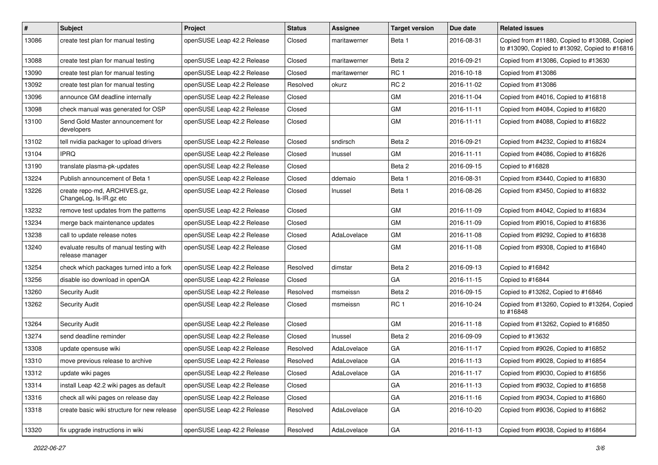| $\vert$ # | Subject                                                    | Project                    | <b>Status</b> | <b>Assignee</b> | <b>Target version</b> | Due date   | <b>Related issues</b>                                                                         |
|-----------|------------------------------------------------------------|----------------------------|---------------|-----------------|-----------------------|------------|-----------------------------------------------------------------------------------------------|
| 13086     | create test plan for manual testing                        | openSUSE Leap 42.2 Release | Closed        | maritawerner    | Beta 1                | 2016-08-31 | Copied from #11880, Copied to #13088, Copied<br>to #13090, Copied to #13092, Copied to #16816 |
| 13088     | create test plan for manual testing                        | openSUSE Leap 42.2 Release | Closed        | maritawerner    | Beta 2                | 2016-09-21 | Copied from #13086, Copied to #13630                                                          |
| 13090     | create test plan for manual testing                        | openSUSE Leap 42.2 Release | Closed        | maritawerner    | RC <sub>1</sub>       | 2016-10-18 | Copied from #13086                                                                            |
| 13092     | create test plan for manual testing                        | openSUSE Leap 42.2 Release | Resolved      | okurz           | RC <sub>2</sub>       | 2016-11-02 | Copied from #13086                                                                            |
| 13096     | announce GM deadline internally                            | openSUSE Leap 42.2 Release | Closed        |                 | <b>GM</b>             | 2016-11-04 | Copied from #4016, Copied to #16818                                                           |
| 13098     | check manual was generated for OSP                         | openSUSE Leap 42.2 Release | Closed        |                 | GM                    | 2016-11-11 | Copied from #4084, Copied to #16820                                                           |
| 13100     | Send Gold Master announcement for<br>developers            | openSUSE Leap 42.2 Release | Closed        |                 | GM                    | 2016-11-11 | Copied from #4088, Copied to #16822                                                           |
| 13102     | tell nvidia packager to upload drivers                     | openSUSE Leap 42.2 Release | Closed        | sndirsch        | Beta 2                | 2016-09-21 | Copied from #4232, Copied to #16824                                                           |
| 13104     | <b>IPRQ</b>                                                | openSUSE Leap 42.2 Release | Closed        | Inussel         | GM                    | 2016-11-11 | Copied from #4086, Copied to #16826                                                           |
| 13190     | translate plasma-pk-updates                                | openSUSE Leap 42.2 Release | Closed        |                 | Beta 2                | 2016-09-15 | Copied to #16828                                                                              |
| 13224     | Publish announcement of Beta 1                             | openSUSE Leap 42.2 Release | Closed        | ddemaio         | Beta 1                | 2016-08-31 | Copied from #3440, Copied to #16830                                                           |
| 13226     | create repo-md, ARCHIVES.gz,<br>ChangeLog, Is-IR.gz etc    | openSUSE Leap 42.2 Release | Closed        | Inussel         | Beta 1                | 2016-08-26 | Copied from #3450, Copied to #16832                                                           |
| 13232     | remove test updates from the patterns                      | openSUSE Leap 42.2 Release | Closed        |                 | <b>GM</b>             | 2016-11-09 | Copied from #4042, Copied to #16834                                                           |
| 13234     | merge back maintenance updates                             | openSUSE Leap 42.2 Release | Closed        |                 | GM                    | 2016-11-09 | Copied from #9016, Copied to #16836                                                           |
| 13238     | call to update release notes                               | openSUSE Leap 42.2 Release | Closed        | AdaLovelace     | GM                    | 2016-11-08 | Copied from #9292, Copied to #16838                                                           |
| 13240     | evaluate results of manual testing with<br>release manager | openSUSE Leap 42.2 Release | Closed        |                 | GM                    | 2016-11-08 | Copied from #9308, Copied to #16840                                                           |
| 13254     | check which packages turned into a fork                    | openSUSE Leap 42.2 Release | Resolved      | dimstar         | Beta 2                | 2016-09-13 | Copied to #16842                                                                              |
| 13256     | disable iso download in openQA                             | openSUSE Leap 42.2 Release | Closed        |                 | GA                    | 2016-11-15 | Copied to #16844                                                                              |
| 13260     | <b>Security Audit</b>                                      | openSUSE Leap 42.2 Release | Resolved      | msmeissn        | Beta 2                | 2016-09-15 | Copied to #13262, Copied to #16846                                                            |
| 13262     | <b>Security Audit</b>                                      | openSUSE Leap 42.2 Release | Closed        | msmeissn        | RC <sub>1</sub>       | 2016-10-24 | Copied from #13260, Copied to #13264, Copied<br>to #16848                                     |
| 13264     | <b>Security Audit</b>                                      | openSUSE Leap 42.2 Release | Closed        |                 | GM                    | 2016-11-18 | Copied from #13262, Copied to #16850                                                          |
| 13274     | send deadline reminder                                     | openSUSE Leap 42.2 Release | Closed        | Inussel         | Beta 2                | 2016-09-09 | Copied to #13632                                                                              |
| 13308     | update opensuse wiki                                       | openSUSE Leap 42.2 Release | Resolved      | AdaLovelace     | GA                    | 2016-11-17 | Copied from #9026, Copied to #16852                                                           |
| 13310     | move previous release to archive                           | openSUSE Leap 42.2 Release | Resolved      | AdaLovelace     | GA                    | 2016-11-13 | Copied from #9028, Copied to #16854                                                           |
| 13312     | update wiki pages                                          | openSUSE Leap 42.2 Release | Closed        | AdaLovelace     | GA                    | 2016-11-17 | Copied from #9030, Copied to #16856                                                           |
| 13314     | install Leap 42.2 wiki pages as default                    | openSUSE Leap 42.2 Release | Closed        |                 | GA                    | 2016-11-13 | Copied from #9032, Copied to #16858                                                           |
| 13316     | check all wiki pages on release day                        | openSUSE Leap 42.2 Release | Closed        |                 | GA                    | 2016-11-16 | Copied from #9034, Copied to #16860                                                           |
| 13318     | create basic wiki structure for new release                | openSUSE Leap 42.2 Release | Resolved      | AdaLovelace     | GA                    | 2016-10-20 | Copied from #9036, Copied to #16862                                                           |
| 13320     | fix upgrade instructions in wiki                           | openSUSE Leap 42.2 Release | Resolved      | AdaLovelace     | GA                    | 2016-11-13 | Copied from #9038, Copied to #16864                                                           |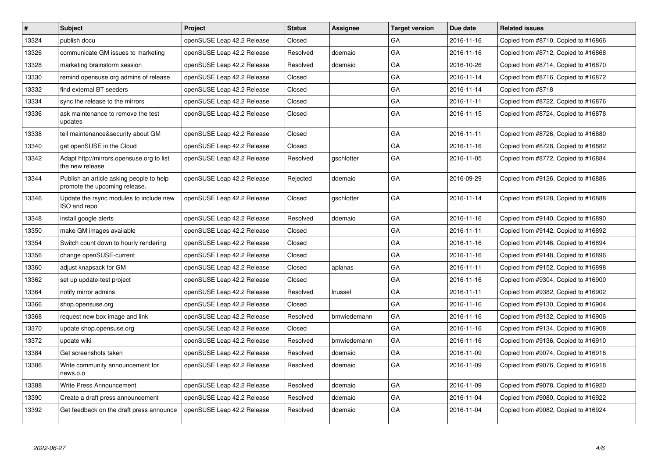| $\vert$ # | <b>Subject</b>                                                            | <b>Project</b>             | <b>Status</b> | Assignee    | <b>Target version</b> | Due date   | <b>Related issues</b>               |
|-----------|---------------------------------------------------------------------------|----------------------------|---------------|-------------|-----------------------|------------|-------------------------------------|
| 13324     | publish docu                                                              | openSUSE Leap 42.2 Release | Closed        |             | GA                    | 2016-11-16 | Copied from #8710, Copied to #16866 |
| 13326     | communicate GM issues to marketing                                        | openSUSE Leap 42.2 Release | Resolved      | ddemaio     | GA                    | 2016-11-16 | Copied from #8712, Copied to #16868 |
| 13328     | marketing brainstorm session                                              | openSUSE Leap 42.2 Release | Resolved      | ddemaio     | GA                    | 2016-10-26 | Copied from #8714, Copied to #16870 |
| 13330     | remind opensuse.org admins of release                                     | openSUSE Leap 42.2 Release | Closed        |             | GA                    | 2016-11-14 | Copied from #8716, Copied to #16872 |
| 13332     | find external BT seeders                                                  | openSUSE Leap 42.2 Release | Closed        |             | GA                    | 2016-11-14 | Copied from #8718                   |
| 13334     | sync the release to the mirrors                                           | openSUSE Leap 42.2 Release | Closed        |             | GA                    | 2016-11-11 | Copied from #8722, Copied to #16876 |
| 13336     | ask maintenance to remove the test<br>updates                             | openSUSE Leap 42.2 Release | Closed        |             | GA                    | 2016-11-15 | Copied from #8724, Copied to #16878 |
| 13338     | tell maintenance&security about GM                                        | openSUSE Leap 42.2 Release | Closed        |             | GA                    | 2016-11-11 | Copied from #8726, Copied to #16880 |
| 13340     | get openSUSE in the Cloud                                                 | openSUSE Leap 42.2 Release | Closed        |             | GA                    | 2016-11-16 | Copied from #8728, Copied to #16882 |
| 13342     | Adapt http://mirrors.opensuse.org to list<br>the new release              | openSUSE Leap 42.2 Release | Resolved      | gschlotter  | GA                    | 2016-11-05 | Copied from #8772, Copied to #16884 |
| 13344     | Publish an article asking people to help<br>promote the upcoming release. | openSUSE Leap 42.2 Release | Rejected      | ddemaio     | GA                    | 2016-09-29 | Copied from #9126, Copied to #16886 |
| 13346     | Update the rsync modules to include new<br>ISO and repo                   | openSUSE Leap 42.2 Release | Closed        | gschlotter  | GA                    | 2016-11-14 | Copied from #9128, Copied to #16888 |
| 13348     | install google alerts                                                     | openSUSE Leap 42.2 Release | Resolved      | ddemaio     | GA                    | 2016-11-16 | Copied from #9140, Copied to #16890 |
| 13350     | make GM images available                                                  | openSUSE Leap 42.2 Release | Closed        |             | GA                    | 2016-11-11 | Copied from #9142, Copied to #16892 |
| 13354     | Switch count down to hourly rendering                                     | openSUSE Leap 42.2 Release | Closed        |             | GA                    | 2016-11-16 | Copied from #9146, Copied to #16894 |
| 13356     | change openSUSE-current                                                   | openSUSE Leap 42.2 Release | Closed        |             | GA                    | 2016-11-16 | Copied from #9148, Copied to #16896 |
| 13360     | adjust knapsack for GM                                                    | openSUSE Leap 42.2 Release | Closed        | aplanas     | GA                    | 2016-11-11 | Copied from #9152, Copied to #16898 |
| 13362     | set up update-test project                                                | openSUSE Leap 42.2 Release | Closed        |             | GA                    | 2016-11-16 | Copied from #9304, Copied to #16900 |
| 13364     | notify mirror admins                                                      | openSUSE Leap 42.2 Release | Resolved      | Inussel     | GA                    | 2016-11-11 | Copied from #9382, Copied to #16902 |
| 13366     | shop.opensuse.org                                                         | openSUSE Leap 42.2 Release | Closed        |             | GA                    | 2016-11-16 | Copied from #9130, Copied to #16904 |
| 13368     | request new box image and link                                            | openSUSE Leap 42.2 Release | Resolved      | bmwiedemann | GA                    | 2016-11-16 | Copied from #9132, Copied to #16906 |
| 13370     | update shop.opensuse.org                                                  | openSUSE Leap 42.2 Release | Closed        |             | GA                    | 2016-11-16 | Copied from #9134, Copied to #16908 |
| 13372     | update wiki                                                               | openSUSE Leap 42.2 Release | Resolved      | bmwiedemann | GA                    | 2016-11-16 | Copied from #9136, Copied to #16910 |
| 13384     | Get screenshots taken                                                     | openSUSE Leap 42.2 Release | Resolved      | ddemaio     | GA                    | 2016-11-09 | Copied from #9074, Copied to #16916 |
| 13386     | Write community announcement for<br>news.o.o                              | openSUSE Leap 42.2 Release | Resolved      | ddemaio     | GA                    | 2016-11-09 | Copied from #9076, Copied to #16918 |
| 13388     | <b>Write Press Announcement</b>                                           | openSUSE Leap 42.2 Release | Resolved      | ddemaio     | GA                    | 2016-11-09 | Copied from #9078, Copied to #16920 |
| 13390     | Create a draft press announcement                                         | openSUSE Leap 42.2 Release | Resolved      | ddemaio     | GA                    | 2016-11-04 | Copied from #9080, Copied to #16922 |
| 13392     | Get feedback on the draft press announce                                  | openSUSE Leap 42.2 Release | Resolved      | ddemaio     | GA                    | 2016-11-04 | Copied from #9082, Copied to #16924 |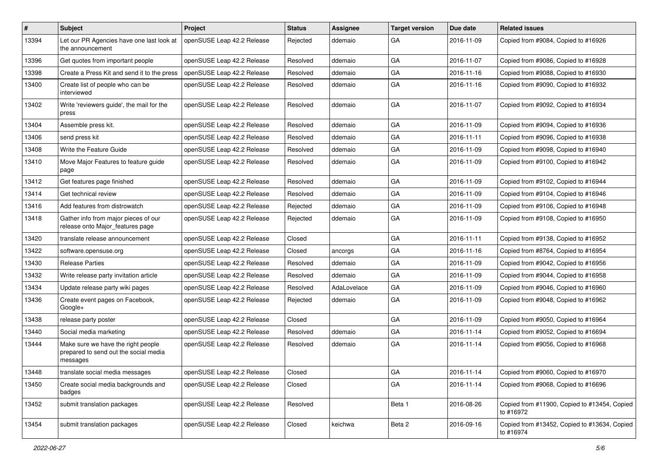| #     | Subject                                                                                 | <b>Project</b>             | <b>Status</b> | Assignee    | <b>Target version</b> | Due date   | <b>Related issues</b>                                     |
|-------|-----------------------------------------------------------------------------------------|----------------------------|---------------|-------------|-----------------------|------------|-----------------------------------------------------------|
| 13394 | Let our PR Agencies have one last look at<br>the announcement                           | openSUSE Leap 42.2 Release | Rejected      | ddemaio     | GA                    | 2016-11-09 | Copied from #9084, Copied to #16926                       |
| 13396 | Get quotes from important people                                                        | openSUSE Leap 42.2 Release | Resolved      | ddemaio     | GA                    | 2016-11-07 | Copied from #9086, Copied to #16928                       |
| 13398 | Create a Press Kit and send it to the press                                             | openSUSE Leap 42.2 Release | Resolved      | ddemaio     | GA                    | 2016-11-16 | Copied from #9088, Copied to #16930                       |
| 13400 | Create list of people who can be<br>interviewed                                         | openSUSE Leap 42.2 Release | Resolved      | ddemaio     | GA                    | 2016-11-16 | Copied from #9090, Copied to #16932                       |
| 13402 | Write 'reviewers guide', the mail for the<br>press                                      | openSUSE Leap 42.2 Release | Resolved      | ddemaio     | GA                    | 2016-11-07 | Copied from #9092, Copied to #16934                       |
| 13404 | Assemble press kit.                                                                     | openSUSE Leap 42.2 Release | Resolved      | ddemaio     | GA                    | 2016-11-09 | Copied from #9094, Copied to #16936                       |
| 13406 | send press kit                                                                          | openSUSE Leap 42.2 Release | Resolved      | ddemaio     | GA                    | 2016-11-11 | Copied from #9096, Copied to #16938                       |
| 13408 | Write the Feature Guide                                                                 | openSUSE Leap 42.2 Release | Resolved      | ddemaio     | GA                    | 2016-11-09 | Copied from #9098, Copied to #16940                       |
| 13410 | Move Major Features to feature guide<br>page                                            | openSUSE Leap 42.2 Release | Resolved      | ddemaio     | GA                    | 2016-11-09 | Copied from #9100, Copied to #16942                       |
| 13412 | Get features page finished                                                              | openSUSE Leap 42.2 Release | Resolved      | ddemaio     | GA                    | 2016-11-09 | Copied from #9102, Copied to #16944                       |
| 13414 | Get technical review                                                                    | openSUSE Leap 42.2 Release | Resolved      | ddemaio     | GA                    | 2016-11-09 | Copied from #9104, Copied to #16946                       |
| 13416 | Add features from distrowatch                                                           | openSUSE Leap 42.2 Release | Rejected      | ddemaio     | GA                    | 2016-11-09 | Copied from #9106, Copied to #16948                       |
| 13418 | Gather info from major pieces of our<br>release onto Major_features page                | openSUSE Leap 42.2 Release | Rejected      | ddemaio     | GA                    | 2016-11-09 | Copied from #9108, Copied to #16950                       |
| 13420 | translate release announcement                                                          | openSUSE Leap 42.2 Release | Closed        |             | GA                    | 2016-11-11 | Copied from #9138, Copied to #16952                       |
| 13422 | software.opensuse.org                                                                   | openSUSE Leap 42.2 Release | Closed        | ancorgs     | GA                    | 2016-11-16 | Copied from #8764, Copied to #16954                       |
| 13430 | <b>Release Parties</b>                                                                  | openSUSE Leap 42.2 Release | Resolved      | ddemaio     | GA                    | 2016-11-09 | Copied from #9042, Copied to #16956                       |
| 13432 | Write release party invitation article                                                  | openSUSE Leap 42.2 Release | Resolved      | ddemaio     | GA                    | 2016-11-09 | Copied from #9044, Copied to #16958                       |
| 13434 | Update release party wiki pages                                                         | openSUSE Leap 42.2 Release | Resolved      | AdaLovelace | GA                    | 2016-11-09 | Copied from #9046, Copied to #16960                       |
| 13436 | Create event pages on Facebook,<br>Google+                                              | openSUSE Leap 42.2 Release | Rejected      | ddemaio     | GA                    | 2016-11-09 | Copied from #9048, Copied to #16962                       |
| 13438 | release party poster                                                                    | openSUSE Leap 42.2 Release | Closed        |             | GA                    | 2016-11-09 | Copied from #9050, Copied to #16964                       |
| 13440 | Social media marketing                                                                  | openSUSE Leap 42.2 Release | Resolved      | ddemaio     | GA                    | 2016-11-14 | Copied from #9052, Copied to #16694                       |
| 13444 | Make sure we have the right people<br>prepared to send out the social media<br>messages | openSUSE Leap 42.2 Release | Resolved      | ddemaio     | GA                    | 2016-11-14 | Copied from #9056, Copied to #16968                       |
| 13448 | translate social media messages                                                         | openSUSE Leap 42.2 Release | Closed        |             | GA                    | 2016-11-14 | Copied from #9060, Copied to #16970                       |
| 13450 | Create social media backgrounds and<br>badges                                           | openSUSE Leap 42.2 Release | Closed        |             | GA                    | 2016-11-14 | Copied from #9068, Copied to #16696                       |
| 13452 | submit translation packages                                                             | openSUSE Leap 42.2 Release | Resolved      |             | Beta 1                | 2016-08-26 | Copied from #11900, Copied to #13454, Copied<br>to #16972 |
| 13454 | submit translation packages                                                             | openSUSE Leap 42.2 Release | Closed        | keichwa     | Beta 2                | 2016-09-16 | Copied from #13452, Copied to #13634, Copied<br>to #16974 |